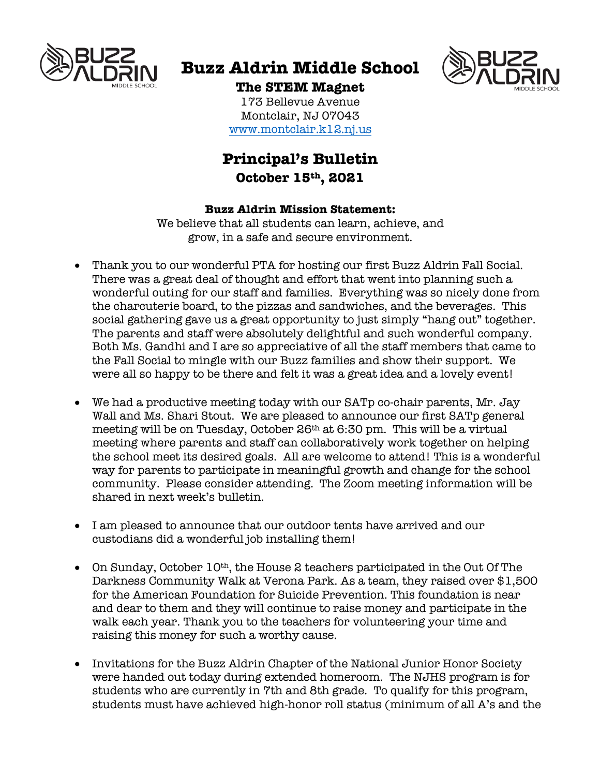

# **Buzz Aldrin Middle School**



## **The STEM Magnet**

173 Bellevue Avenue Montclair, NJ 07043 www.montclair.k12.nj.us

## **Principal's Bulletin October 15th, 2021**

## **Buzz Aldrin Mission Statement:**

We believe that all students can learn, achieve, and grow, in a safe and secure environment.

- Thank you to our wonderful PTA for hosting our first Buzz Aldrin Fall Social. There was a great deal of thought and effort that went into planning such a wonderful outing for our staff and families. Everything was so nicely done from the charcuterie board, to the pizzas and sandwiches, and the beverages. This social gathering gave us a great opportunity to just simply "hang out" together. The parents and staff were absolutely delightful and such wonderful company. Both Ms. Gandhi and I are so appreciative of all the staff members that came to the Fall Social to mingle with our Buzz families and show their support. We were all so happy to be there and felt it was a great idea and a lovely event!
- We had a productive meeting today with our SATp co-chair parents, Mr. Jay Wall and Ms. Shari Stout. We are pleased to announce our first SATp general meeting will be on Tuesday, October 26th at 6:30 pm. This will be a virtual meeting where parents and staff can collaboratively work together on helping the school meet its desired goals. All are welcome to attend! This is a wonderful way for parents to participate in meaningful growth and change for the school community. Please consider attending. The Zoom meeting information will be shared in next week's bulletin.
- I am pleased to announce that our outdoor tents have arrived and our custodians did a wonderful job installing them!
- On Sunday, October 10<sup>th</sup>, the House 2 teachers participated in the Out Of The Darkness Community Walk at Verona Park. As a team, they raised over \$1,500 for the American Foundation for Suicide Prevention. This foundation is near and dear to them and they will continue to raise money and participate in the walk each year. Thank you to the teachers for volunteering your time and raising this money for such a worthy cause.
- Invitations for the Buzz Aldrin Chapter of the National Junior Honor Society were handed out today during extended homeroom. The NJHS program is for students who are currently in 7th and 8th grade. To qualify for this program, students must have achieved high-honor roll status (minimum of all A's and the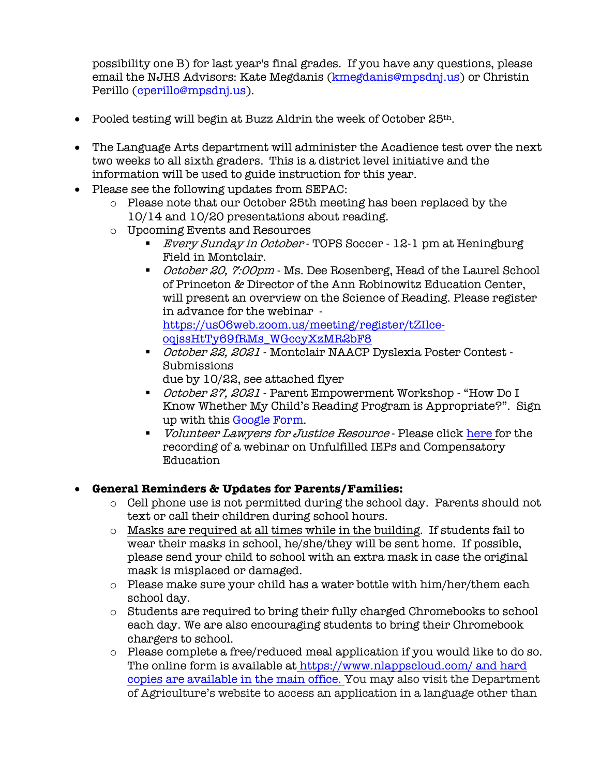possibility one B) for last year's final grades. If you have any questions, please email the NJHS Advisors: Kate Megdanis (kmegdanis@mpsdnj.us) or Christin Perillo (cperillo@mpsdnj.us).

- Pooled testing will begin at Buzz Aldrin the week of October  $25<sup>th</sup>$ .
- The Language Arts department will administer the Acadience test over the next two weeks to all sixth graders. This is a district level initiative and the information will be used to guide instruction for this year.
- Please see the following updates from SEPAC:
	- $\circ$  Please note that our October 25th meeting has been replaced by the 10/14 and 10/20 presentations about reading.
	- o Upcoming Events and Resources
		- *Every Sunday in October* TOPS Soccer 12-1 pm at Heningburg Field in Montclair.
		- *October 20, 7:00pm* Ms. Dee Rosenberg, Head of the Laurel School of Princeton & Director of the Ann Robinowitz Education Center, will present an overview on the Science of Reading. Please register in advance for the webinar https://us06web.zoom.us/meeting/register/tZIlceoqjssHtTy69fRMs\_WGccyXzMR2bF8
		- *October 22, 2021* Montclair NAACP Dyslexia Poster Contest -Submissions due by 10/22, see attached flyer
		- *October 27, 2021* Parent Empowerment Workshop "How Do I Know Whether My Child's Reading Program is Appropriate?". Sign up with this Google Form.
		- *Volunteer Lawyers for Justice Resource* Please click here for the recording of a webinar on Unfulfilled IEPs and Compensatory Education

### • **General Reminders & Updates for Parents/Families:**

- o Cell phone use is not permitted during the school day. Parents should not text or call their children during school hours.
- o Masks are required at all times while in the building. If students fail to wear their masks in school, he/she/they will be sent home. If possible, please send your child to school with an extra mask in case the original mask is misplaced or damaged.
- $\circ$  Please make sure your child has a water bottle with him/her/them each school day.
- o Students are required to bring their fully charged Chromebooks to school each day. We are also encouraging students to bring their Chromebook chargers to school.
- o Please complete a free/reduced meal application if you would like to do so. The online form is available at https://www.nlappscloud.com/ and hard copies are available in the main office. You may also visit the Department of Agriculture's website to access an application in a language other than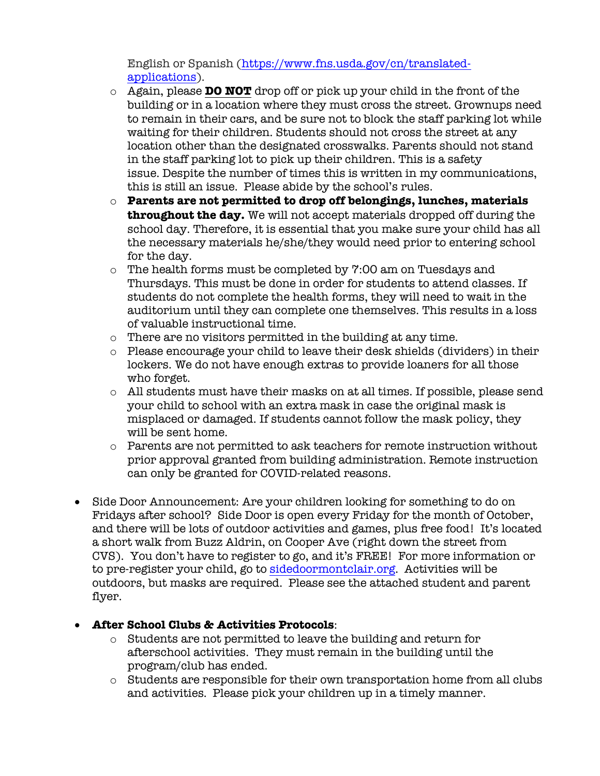English or Spanish (https://www.fns.usda.gov/cn/translatedapplications).

- o Again, please **DO NOT** drop off or pick up your child in the front of the building or in a location where they must cross the street. Grownups need to remain in their cars, and be sure not to block the staff parking lot while waiting for their children. Students should not cross the street at any location other than the designated crosswalks. Parents should not stand in the staff parking lot to pick up their children. This is a safety issue. Despite the number of times this is written in my communications, this is still an issue. Please abide by the school's rules.
- o **Parents are not permitted to drop off belongings, lunches, materials throughout the day.** We will not accept materials dropped off during the school day. Therefore, it is essential that you make sure your child has all the necessary materials he/she/they would need prior to entering school for the day.
- o The health forms must be completed by 7:00 am on Tuesdays and Thursdays. This must be done in order for students to attend classes. If students do not complete the health forms, they will need to wait in the auditorium until they can complete one themselves. This results in a loss of valuable instructional time.
- o There are no visitors permitted in the building at any time.
- o Please encourage your child to leave their desk shields (dividers) in their lockers. We do not have enough extras to provide loaners for all those who forget.
- o All students must have their masks on at all times. If possible, please send your child to school with an extra mask in case the original mask is misplaced or damaged. If students cannot follow the mask policy, they will be sent home.
- $\circ$  Parents are not permitted to ask teachers for remote instruction without prior approval granted from building administration. Remote instruction can only be granted for COVID-related reasons.
- Side Door Announcement: Are your children looking for something to do on Fridays after school? Side Door is open every Friday for the month of October, and there will be lots of outdoor activities and games, plus free food! It's located a short walk from Buzz Aldrin, on Cooper Ave (right down the street from CVS). You don't have to register to go, and it's FREE! For more information or to pre-register your child, go to sidedoormontclair.org. Activities will be outdoors, but masks are required. Please see the attached student and parent flyer.

## • **After School Clubs & Activities Protocols**:

- o Students are not permitted to leave the building and return for afterschool activities. They must remain in the building until the program/club has ended.
- o Students are responsible for their own transportation home from all clubs and activities. Please pick your children up in a timely manner.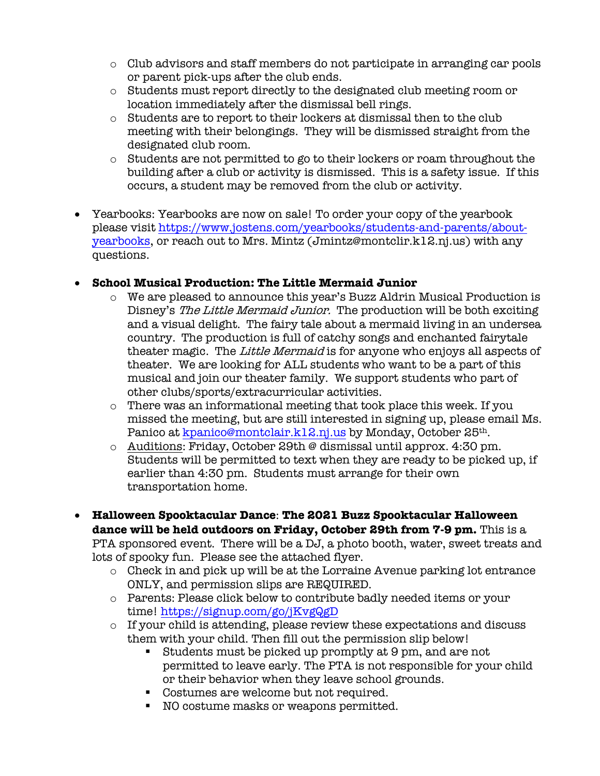- o Club advisors and staff members do not participate in arranging car pools or parent pick-ups after the club ends.
- o Students must report directly to the designated club meeting room or location immediately after the dismissal bell rings.
- o Students are to report to their lockers at dismissal then to the club meeting with their belongings. They will be dismissed straight from the designated club room.
- $\circ$  Students are not permitted to go to their lockers or roam throughout the building after a club or activity is dismissed. This is a safety issue. If this occurs, a student may be removed from the club or activity.
- Yearbooks: Yearbooks are now on sale! To order your copy of the yearbook please visit https://www.jostens.com/yearbooks/students-and-parents/aboutyearbooks, or reach out to Mrs. Mintz (Jmintz@montclir.k12.nj.us) with any questions.

## • **School Musical Production: The Little Mermaid Junior**

- o We are pleased to announce this year's Buzz Aldrin Musical Production is Disney's The Little Mermaid Junior. The production will be both exciting and a visual delight. The fairy tale about a mermaid living in an undersea country. The production is full of catchy songs and enchanted fairytale theater magic. The Little Mermaid is for anyone who enjoys all aspects of theater. We are looking for ALL students who want to be a part of this musical and join our theater family. We support students who part of other clubs/sports/extracurricular activities.
- o There was an informational meeting that took place this week. If you missed the meeting, but are still interested in signing up, please email Ms. Panico at kpanico@montclair.k12.nj.us by Monday, October 25<sup>th</sup>.
- o Auditions: Friday, October 29th @ dismissal until approx. 4:30 pm. Students will be permitted to text when they are ready to be picked up, if earlier than 4:30 pm. Students must arrange for their own transportation home.
- **Halloween Spooktacular Dance**: **The 2021 Buzz Spooktacular Halloween dance will be held outdoors on Friday, October 29th from 7-9 pm.** This is a PTA sponsored event. There will be a DJ, a photo booth, water, sweet treats and lots of spooky fun. Please see the attached flyer.
	- $\circ$  Check in and pick up will be at the Lorraine Avenue parking lot entrance ONLY, and permission slips are REQUIRED.
	- o Parents: Please click below to contribute badly needed items or your time! https://signup.com/go/jKvgQgD
	- o If your child is attending, please review these expectations and discuss them with your child. Then fill out the permission slip below!
		- § Students must be picked up promptly at 9 pm, and are not permitted to leave early. The PTA is not responsible for your child or their behavior when they leave school grounds.
		- Costumes are welcome but not required.
		- NO costume masks or weapons permitted.